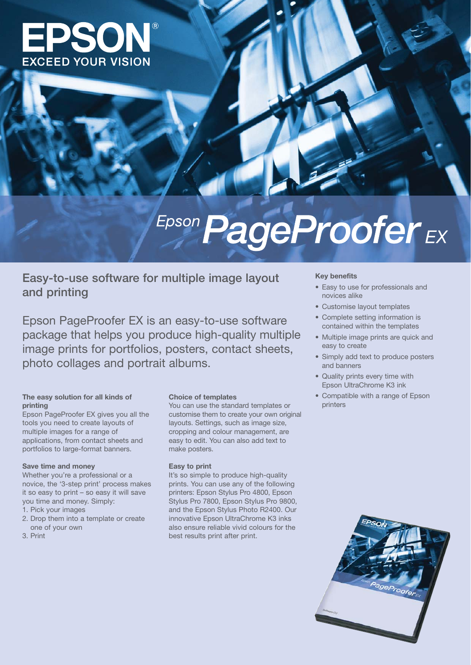

# Epson PageProofer<sub>EX</sub>

## **Easy-to-use software for multiple image layout and printing**

Epson PageProofer EX is an easy-to-use software package that helps you produce high-quality multiple image prints for portfolios, posters, contact sheets, photo collages and portrait albums.

### **The easy solution for all kinds of printing**

Epson PageProofer EX gives you all the tools you need to create layouts of multiple images for a range of applications, from contact sheets and portfolios to large-format banners.

#### **Save time and money**

Whether you're a professional or a novice, the '3-step print' process makes it so easy to print – so easy it will save you time and money. Simply:

- 1. Pick your images
- 2. Drop them into a template or create one of your own
- 3. Print

#### **Choice of templates**

You can use the standard templates or customise them to create your own original layouts. Settings, such as image size, cropping and colour management, are easy to edit. You can also add text to make posters.

#### **Easy to print**

It's so simple to produce high-quality prints. You can use any of the following printers: Epson Stylus Pro 4800, Epson Stylus Pro 7800, Epson Stylus Pro 9800, and the Epson Stylus Photo R2400. Our innovative Epson UltraChrome K3 inks also ensure reliable vivid colours for the best results print after print.

#### **Key benefits**

- Easy to use for professionals and novices alike
- Customise layout templates
- Complete setting information is contained within the templates
- Multiple image prints are quick and easy to create
- Simply add text to produce posters and banners
- Quality prints every time with Epson UltraChrome K3 ink
- Compatible with a range of Epson printers